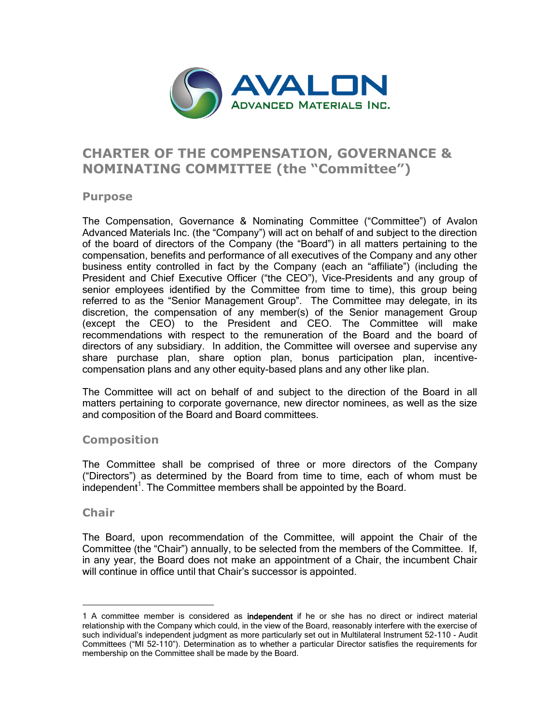

# **CHARTER OF THE COMPENSATION, GOVERNANCE & NOMINATING COMMITTEE (the "Committee")**

#### **Purpose**

The Compensation, Governance & Nominating Committee ("Committee") of Avalon Advanced Materials Inc. (the "Company") will act on behalf of and subject to the direction of the board of directors of the Company (the "Board") in all matters pertaining to the compensation, benefits and performance of all executives of the Company and any other business entity controlled in fact by the Company (each an "affiliate") (including the President and Chief Executive Officer ("the CEO"), Vice-Presidents and any group of senior employees identified by the Committee from time to time), this group being referred to as the "Senior Management Group". The Committee may delegate, in its discretion, the compensation of any member(s) of the Senior management Group (except the CEO) to the President and CEO. The Committee will make recommendations with respect to the remuneration of the Board and the board of directors of any subsidiary. In addition, the Committee will oversee and supervise any share purchase plan, share option plan, bonus participation plan, incentivecompensation plans and any other equity-based plans and any other like plan.

The Committee will act on behalf of and subject to the direction of the Board in all matters pertaining to corporate governance, new director nominees, as well as the size and composition of the Board and Board committees.

### **Composition**

The Committee shall be comprised of three or more directors of the Company ("Directors") as determined by the Board from time to time, each of whom must be  $\dot{a}$  independent<sup>1</sup>. The Committee members shall be appointed by the Board.

#### **Chair**

<u>.</u>

The Board, upon recommendation of the Committee, will appoint the Chair of the Committee (the "Chair") annually, to be selected from the members of the Committee. If, in any year, the Board does not make an appointment of a Chair, the incumbent Chair will continue in office until that Chair's successor is appointed.

<sup>1</sup> A committee member is considered as independent if he or she has no direct or indirect material relationship with the Company which could, in the view of the Board, reasonably interfere with the exercise of such individual's independent judgment as more particularly set out in Multilateral Instrument 52-110 - Audit Committees ("MI 52-110"). Determination as to whether a particular Director satisfies the requirements for membership on the Committee shall be made by the Board.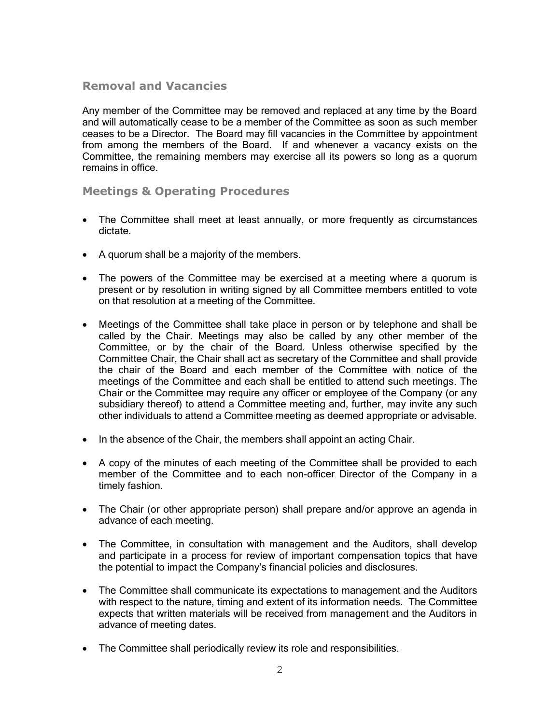### **Removal and Vacancies**

Any member of the Committee may be removed and replaced at any time by the Board and will automatically cease to be a member of the Committee as soon as such member ceases to be a Director. The Board may fill vacancies in the Committee by appointment from among the members of the Board. If and whenever a vacancy exists on the Committee, the remaining members may exercise all its powers so long as a quorum remains in office.

### **Meetings & Operating Procedures**

- The Committee shall meet at least annually, or more frequently as circumstances dictate.
- A quorum shall be a majority of the members.
- The powers of the Committee may be exercised at a meeting where a quorum is present or by resolution in writing signed by all Committee members entitled to vote on that resolution at a meeting of the Committee.
- Meetings of the Committee shall take place in person or by telephone and shall be called by the Chair. Meetings may also be called by any other member of the Committee, or by the chair of the Board. Unless otherwise specified by the Committee Chair, the Chair shall act as secretary of the Committee and shall provide the chair of the Board and each member of the Committee with notice of the meetings of the Committee and each shall be entitled to attend such meetings. The Chair or the Committee may require any officer or employee of the Company (or any subsidiary thereof) to attend a Committee meeting and, further, may invite any such other individuals to attend a Committee meeting as deemed appropriate or advisable.
- $\bullet$  In the absence of the Chair, the members shall appoint an acting Chair.
- A copy of the minutes of each meeting of the Committee shall be provided to each member of the Committee and to each non-officer Director of the Company in a timely fashion.
- The Chair (or other appropriate person) shall prepare and/or approve an agenda in advance of each meeting.
- The Committee, in consultation with management and the Auditors, shall develop and participate in a process for review of important compensation topics that have the potential to impact the Company's financial policies and disclosures.
- The Committee shall communicate its expectations to management and the Auditors with respect to the nature, timing and extent of its information needs. The Committee expects that written materials will be received from management and the Auditors in advance of meeting dates.
- The Committee shall periodically review its role and responsibilities.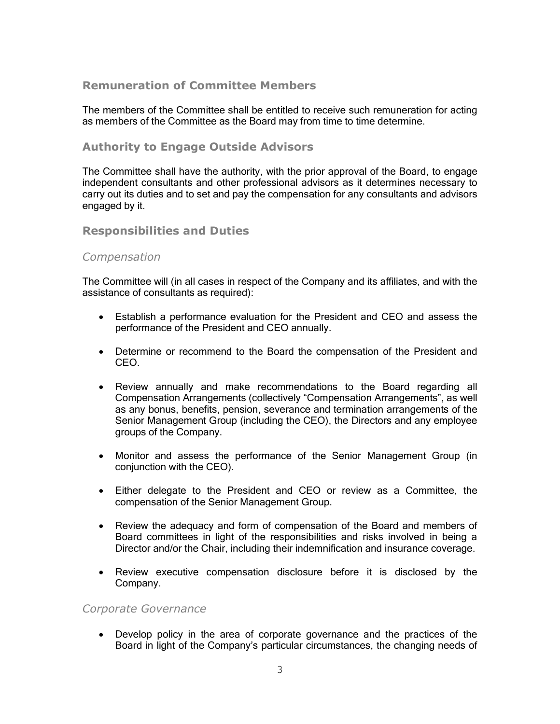### **Remuneration of Committee Members**

The members of the Committee shall be entitled to receive such remuneration for acting as members of the Committee as the Board may from time to time determine.

### **Authority to Engage Outside Advisors**

The Committee shall have the authority, with the prior approval of the Board, to engage independent consultants and other professional advisors as it determines necessary to carry out its duties and to set and pay the compensation for any consultants and advisors engaged by it.

### **Responsibilities and Duties**

#### *Compensation*

The Committee will (in all cases in respect of the Company and its affiliates, and with the assistance of consultants as required):

- Establish a performance evaluation for the President and CEO and assess the performance of the President and CEO annually.
- Determine or recommend to the Board the compensation of the President and CEO.
- Review annually and make recommendations to the Board regarding all Compensation Arrangements (collectively "Compensation Arrangements", as well as any bonus, benefits, pension, severance and termination arrangements of the Senior Management Group (including the CEO), the Directors and any employee groups of the Company.
- Monitor and assess the performance of the Senior Management Group (in conjunction with the CEO).
- Either delegate to the President and CEO or review as a Committee, the compensation of the Senior Management Group.
- Review the adequacy and form of compensation of the Board and members of Board committees in light of the responsibilities and risks involved in being a Director and/or the Chair, including their indemnification and insurance coverage.
- Review executive compensation disclosure before it is disclosed by the Company.

#### *Corporate Governance*

 Develop policy in the area of corporate governance and the practices of the Board in light of the Company's particular circumstances, the changing needs of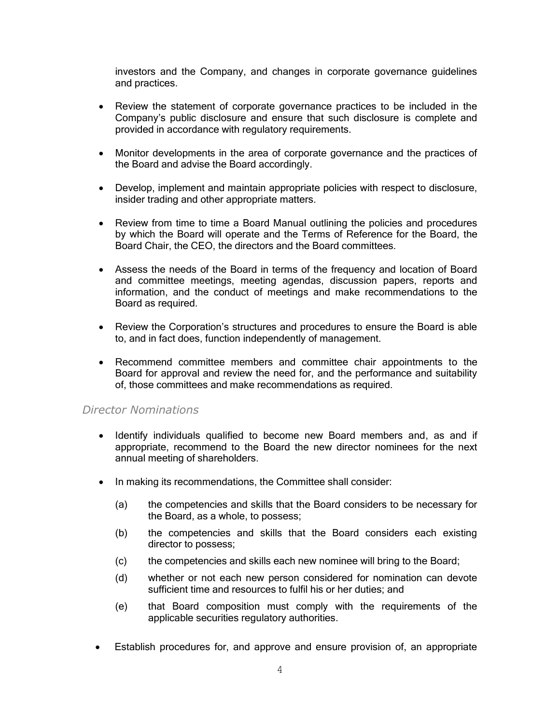investors and the Company, and changes in corporate governance guidelines and practices.

- Review the statement of corporate governance practices to be included in the Company's public disclosure and ensure that such disclosure is complete and provided in accordance with regulatory requirements.
- Monitor developments in the area of corporate governance and the practices of the Board and advise the Board accordingly.
- Develop, implement and maintain appropriate policies with respect to disclosure, insider trading and other appropriate matters.
- Review from time to time a Board Manual outlining the policies and procedures by which the Board will operate and the Terms of Reference for the Board, the Board Chair, the CEO, the directors and the Board committees.
- Assess the needs of the Board in terms of the frequency and location of Board and committee meetings, meeting agendas, discussion papers, reports and information, and the conduct of meetings and make recommendations to the Board as required.
- Review the Corporation's structures and procedures to ensure the Board is able to, and in fact does, function independently of management.
- Recommend committee members and committee chair appointments to the Board for approval and review the need for, and the performance and suitability of, those committees and make recommendations as required.

#### *Director Nominations*

- Identify individuals qualified to become new Board members and, as and if appropriate, recommend to the Board the new director nominees for the next annual meeting of shareholders.
- In making its recommendations, the Committee shall consider:
	- (a) the competencies and skills that the Board considers to be necessary for the Board, as a whole, to possess;
	- (b) the competencies and skills that the Board considers each existing director to possess;
	- (c) the competencies and skills each new nominee will bring to the Board;
	- (d) whether or not each new person considered for nomination can devote sufficient time and resources to fulfil his or her duties; and
	- (e) that Board composition must comply with the requirements of the applicable securities regulatory authorities.
- Establish procedures for, and approve and ensure provision of, an appropriate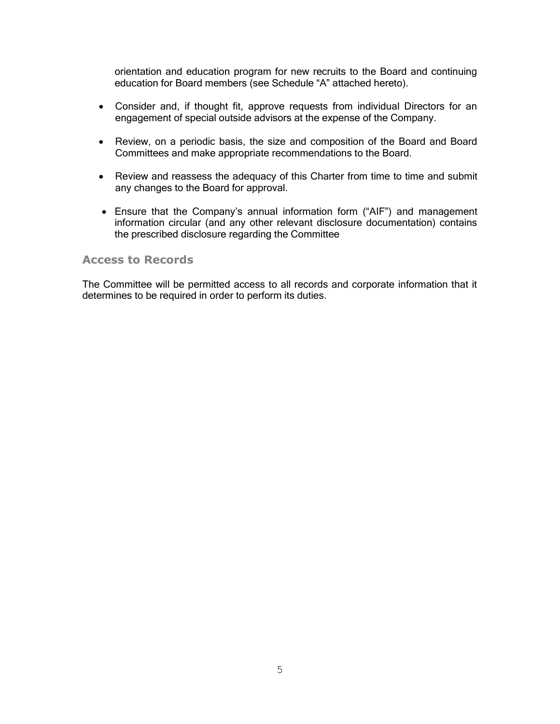orientation and education program for new recruits to the Board and continuing education for Board members (see Schedule "A" attached hereto).

- Consider and, if thought fit, approve requests from individual Directors for an engagement of special outside advisors at the expense of the Company.
- Review, on a periodic basis, the size and composition of the Board and Board Committees and make appropriate recommendations to the Board.
- Review and reassess the adequacy of this Charter from time to time and submit any changes to the Board for approval.
- Ensure that the Company's annual information form ("AIF") and management information circular (and any other relevant disclosure documentation) contains the prescribed disclosure regarding the Committee

#### **Access to Records**

The Committee will be permitted access to all records and corporate information that it determines to be required in order to perform its duties.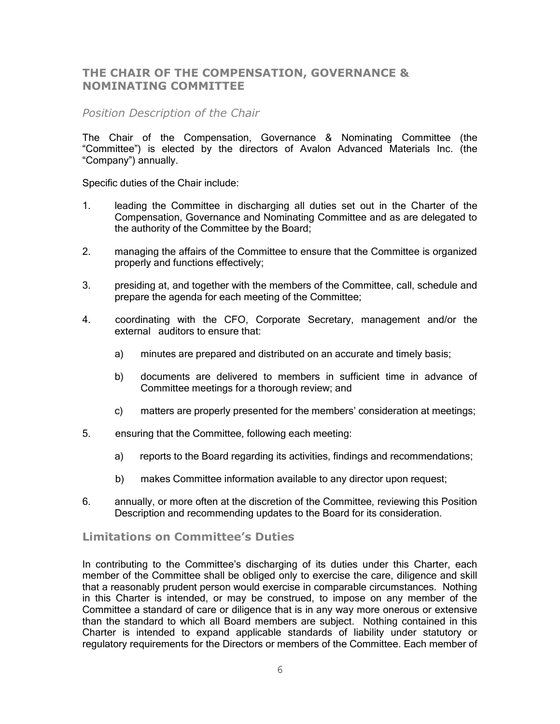### **THE CHAIR OF THE COMPENSATION, GOVERNANCE & NOMINATING COMMITTEE**

### *Position Description of the Chair*

The Chair of the Compensation, Governance & Nominating Committee (the "Committee") is elected by the directors of Avalon Advanced Materials Inc. (the "Company") annually.

Specific duties of the Chair include:

- 1. leading the Committee in discharging all duties set out in the Charter of the Compensation, Governance and Nominating Committee and as are delegated to the authority of the Committee by the Board;
- 2. managing the affairs of the Committee to ensure that the Committee is organized properly and functions effectively;
- 3. presiding at, and together with the members of the Committee, call, schedule and prepare the agenda for each meeting of the Committee;
- 4. coordinating with the CFO, Corporate Secretary, management and/or the external auditors to ensure that:
	- a) minutes are prepared and distributed on an accurate and timely basis;
	- b) documents are delivered to members in sufficient time in advance of Committee meetings for a thorough review; and
	- c) matters are properly presented for the members' consideration at meetings;
- 5. ensuring that the Committee, following each meeting:
	- a) reports to the Board regarding its activities, findings and recommendations;
	- b) makes Committee information available to any director upon request;
- 6. annually, or more often at the discretion of the Committee, reviewing this Position Description and recommending updates to the Board for its consideration.

### **Limitations on Committee's Duties**

In contributing to the Committee's discharging of its duties under this Charter, each member of the Committee shall be obliged only to exercise the care, diligence and skill that a reasonably prudent person would exercise in comparable circumstances. Nothing in this Charter is intended, or may be construed, to impose on any member of the Committee a standard of care or diligence that is in any way more onerous or extensive than the standard to which all Board members are subject. Nothing contained in this Charter is intended to expand applicable standards of liability under statutory or regulatory requirements for the Directors or members of the Committee. Each member of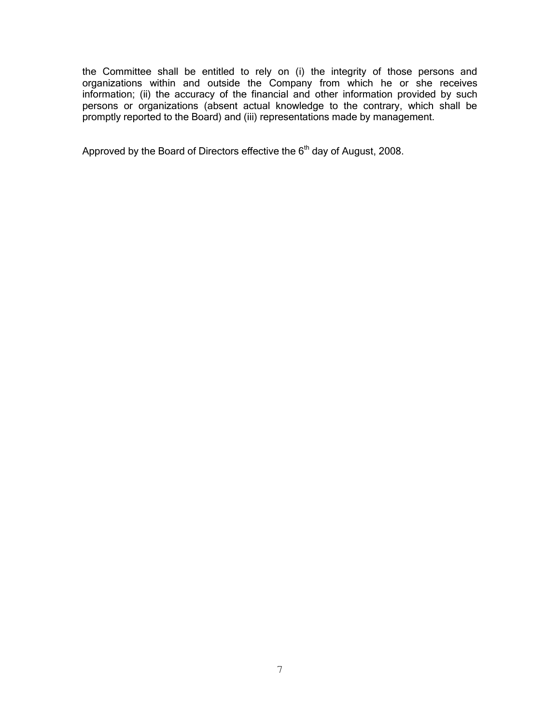the Committee shall be entitled to rely on (i) the integrity of those persons and organizations within and outside the Company from which he or she receives information; (ii) the accuracy of the financial and other information provided by such persons or organizations (absent actual knowledge to the contrary, which shall be promptly reported to the Board) and (iii) representations made by management.

Approved by the Board of Directors effective the 6<sup>th</sup> day of August, 2008.